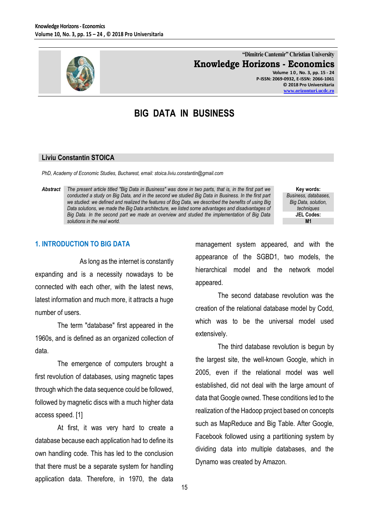

**"Dimitrie Cantemir" Christian University Knowledge Horizons - Economics**

**Volume 1 0 , No. 3, pp. 15 - 24 P-ISSN: 2069-0932, E-ISSN: 2066-1061 © 2018 Pro Universitaria [www.orizonturi.ucdc.ro](http://www.orizonturi.ucdc.ro/)**

# **BIG DATA IN BUSINESS**

#### **Liviu Constantin STOICA**

*PhD, Academy of Economic Studies, Bucharest, email: stoica.liviu.constantin@gmail.com*

*Abstract The present article titled "Big Data in Business" was done in two parts, that is, in the first part we conducted a study on Big Data, and in the second we studied Big Data in Business. In the first part we studied: we defined and realized the features of Bog Data, we described the benefits of using Big Data solutions, we made the Big Data architecture, we listed some advantages and disadvantages of Big Data. In the second part we made an overview and studied the implementation of Big Data solutions in the real world.*

**Key words:** *Business, databases, Big Data, solution, techniques* **JEL Codes: M1**

#### **1. INTRODUCTION TO BIG DATA**

As long as the internet is constantly expanding and is a necessity nowadays to be connected with each other, with the latest news, latest information and much more, it attracts a huge number of users.

The term "database" first appeared in the 1960s, and is defined as an organized collection of data.

The emergence of computers brought a first revolution of databases, using magnetic tapes through which the data sequence could be followed, followed by magnetic discs with a much higher data access speed. [1]

At first, it was very hard to create a database because each application had to define its own handling code. This has led to the conclusion that there must be a separate system for handling application data. Therefore, in 1970, the data management system appeared, and with the appearance of the SGBD1, two models, the hierarchical model and the network model appeared.

The second database revolution was the creation of the relational database model by Codd, which was to be the universal model used extensively.

The third database revolution is begun by the largest site, the well-known Google, which in 2005, even if the relational model was well established, did not deal with the large amount of data that Google owned. These conditions led to the realization of the Hadoop project based on concepts such as MapReduce and Big Table. After Google, Facebook followed using a partitioning system by dividing data into multiple databases, and the Dynamo was created by Amazon.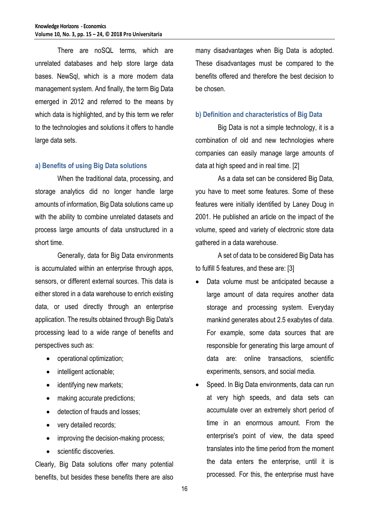There are noSQL terms, which are unrelated databases and help store large data bases. NewSql, which is a more modern data management system. And finally, the term Big Data emerged in 2012 and referred to the means by which data is highlighted, and by this term we refer to the technologies and solutions it offers to handle large data sets.

#### **a) Benefits of using Big Data solutions**

When the traditional data, processing, and storage analytics did no longer handle large amounts of information, Big Data solutions came up with the ability to combine unrelated datasets and process large amounts of data unstructured in a short time.

Generally, data for Big Data environments is accumulated within an enterprise through apps, sensors, or different external sources. This data is either stored in a data warehouse to enrich existing data, or used directly through an enterprise application. The results obtained through Big Data's processing lead to a wide range of benefits and perspectives such as:

- operational optimization;
- intelligent actionable;
- identifying new markets;
- making accurate predictions;
- detection of frauds and losses;
- very detailed records;
- improving the decision-making process;
- scientific discoveries.

Clearly, Big Data solutions offer many potential benefits, but besides these benefits there are also many disadvantages when Big Data is adopted. These disadvantages must be compared to the benefits offered and therefore the best decision to be chosen.

#### **b) Definition and characteristics of Big Data**

Big Data is not a simple technology, it is a combination of old and new technologies where companies can easily manage large amounts of data at high speed and in real time. [2]

As a data set can be considered Big Data, you have to meet some features. Some of these features were initially identified by Laney Doug in 2001. He published an article on the impact of the volume, speed and variety of electronic store data gathered in a data warehouse.

A set of data to be considered Big Data has to fulfill 5 features, and these are: [3]

- Data volume must be anticipated because a large amount of data requires another data storage and processing system. Everyday mankind generates about 2.5 exabytes of data. For example, some data sources that are responsible for generating this large amount of data are: online transactions, scientific experiments, sensors, and social media.
- Speed. In Big Data environments, data can run at very high speeds, and data sets can accumulate over an extremely short period of time in an enormous amount. From the enterprise's point of view, the data speed translates into the time period from the moment the data enters the enterprise, until it is processed. For this, the enterprise must have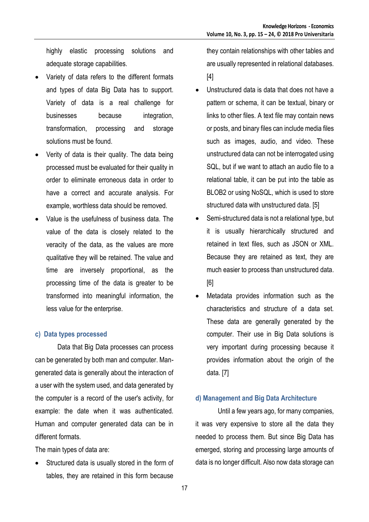highly elastic processing solutions and adequate storage capabilities.

- Variety of data refers to the different formats and types of data Big Data has to support. Variety of data is a real challenge for businesses because integration, transformation, processing and storage solutions must be found.
- Verity of data is their quality. The data being processed must be evaluated for their quality in order to eliminate erroneous data in order to have a correct and accurate analysis. For example, worthless data should be removed.
- Value is the usefulness of business data. The value of the data is closely related to the veracity of the data, as the values are more qualitative they will be retained. The value and time are inversely proportional, as the processing time of the data is greater to be transformed into meaningful information, the less value for the enterprise.

#### **c) Data types processed**

Data that Big Data processes can process can be generated by both man and computer. Mangenerated data is generally about the interaction of a user with the system used, and data generated by the computer is a record of the user's activity, for example: the date when it was authenticated. Human and computer generated data can be in different formats.

The main types of data are:

 Structured data is usually stored in the form of tables, they are retained in this form because

they contain relationships with other tables and are usually represented in relational databases. [4]

- Unstructured data is data that does not have a pattern or schema, it can be textual, binary or links to other files. A text file may contain news or posts, and binary files can include media files such as images, audio, and video. These unstructured data can not be interrogated using SQL, but if we want to attach an audio file to a relational table, it can be put into the table as BLOB2 or using NoSQL, which is used to store structured data with unstructured data. [5]
- Semi-structured data is not a relational type, but it is usually hierarchically structured and retained in text files, such as JSON or XML. Because they are retained as text, they are much easier to process than unstructured data. [6]
- Metadata provides information such as the characteristics and structure of a data set. These data are generally generated by the computer. Their use in Big Data solutions is very important during processing because it provides information about the origin of the data. [7]

#### **d) Management and Big Data Architecture**

Until a few years ago, for many companies, it was very expensive to store all the data they needed to process them. But since Big Data has emerged, storing and processing large amounts of data is no longer difficult. Also now data storage can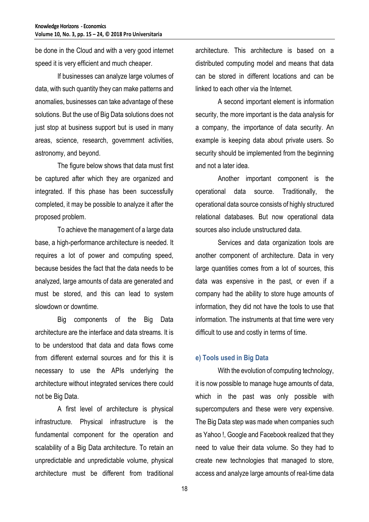be done in the Cloud and with a very good internet speed it is very efficient and much cheaper.

If businesses can analyze large volumes of data, with such quantity they can make patterns and anomalies, businesses can take advantage of these solutions. But the use of Big Data solutions does not just stop at business support but is used in many areas, science, research, government activities, astronomy, and beyond.

The figure below shows that data must first be captured after which they are organized and integrated. If this phase has been successfully completed, it may be possible to analyze it after the proposed problem.

To achieve the management of a large data base, a high-performance architecture is needed. It requires a lot of power and computing speed, because besides the fact that the data needs to be analyzed, large amounts of data are generated and must be stored, and this can lead to system slowdown or downtime.

Big components of the Big Data architecture are the interface and data streams. It is to be understood that data and data flows come from different external sources and for this it is necessary to use the APIs underlying the architecture without integrated services there could not be Big Data.

A first level of architecture is physical infrastructure. Physical infrastructure is the fundamental component for the operation and scalability of a Big Data architecture. To retain an unpredictable and unpredictable volume, physical architecture must be different from traditional architecture. This architecture is based on a distributed computing model and means that data can be stored in different locations and can be linked to each other via the Internet.

A second important element is information security, the more important is the data analysis for a company, the importance of data security. An example is keeping data about private users. So security should be implemented from the beginning and not a later idea.

Another important component is the operational data source. Traditionally, the operational data source consists of highly structured relational databases. But now operational data sources also include unstructured data.

Services and data organization tools are another component of architecture. Data in very large quantities comes from a lot of sources, this data was expensive in the past, or even if a company had the ability to store huge amounts of information, they did not have the tools to use that information. The instruments at that time were very difficult to use and costly in terms of time.

## **e) Tools used in Big Data**

With the evolution of computing technology, it is now possible to manage huge amounts of data, which in the past was only possible with supercomputers and these were very expensive. The Big Data step was made when companies such as Yahoo !, Google and Facebook realized that they need to value their data volume. So they had to create new technologies that managed to store, access and analyze large amounts of real-time data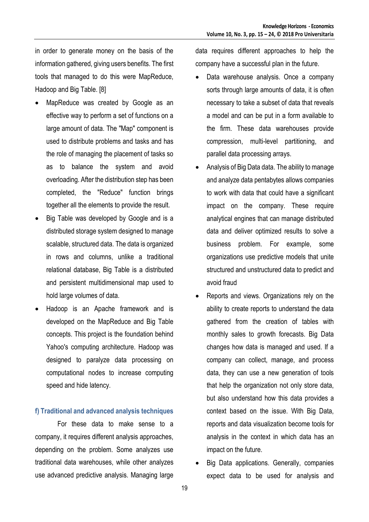in order to generate money on the basis of the information gathered, giving users benefits. The first tools that managed to do this were MapReduce, Hadoop and Big Table. [8]

- MapReduce was created by Google as an effective way to perform a set of functions on a large amount of data. The "Map" component is used to distribute problems and tasks and has the role of managing the placement of tasks so as to balance the system and avoid overloading. After the distribution step has been completed, the "Reduce" function brings together all the elements to provide the result.
- Big Table was developed by Google and is a distributed storage system designed to manage scalable, structured data. The data is organized in rows and columns, unlike a traditional relational database, Big Table is a distributed and persistent multidimensional map used to hold large volumes of data.
- Hadoop is an Apache framework and is developed on the MapReduce and Big Table concepts. This project is the foundation behind Yahoo's computing architecture. Hadoop was designed to paralyze data processing on computational nodes to increase computing speed and hide latency.

#### **f) Traditional and advanced analysis techniques**

For these data to make sense to a company, it requires different analysis approaches, depending on the problem. Some analyzes use traditional data warehouses, while other analyzes use advanced predictive analysis. Managing large data requires different approaches to help the company have a successful plan in the future.

- Data warehouse analysis. Once a company sorts through large amounts of data, it is often necessary to take a subset of data that reveals a model and can be put in a form available to the firm. These data warehouses provide compression, multi-level partitioning, and parallel data processing arrays.
- Analysis of Big Data data. The ability to manage and analyze data pentabytes allows companies to work with data that could have a significant impact on the company. These require analytical engines that can manage distributed data and deliver optimized results to solve a business problem. For example, some organizations use predictive models that unite structured and unstructured data to predict and avoid fraud
- Reports and views. Organizations rely on the ability to create reports to understand the data gathered from the creation of tables with monthly sales to growth forecasts. Big Data changes how data is managed and used. If a company can collect, manage, and process data, they can use a new generation of tools that help the organization not only store data, but also understand how this data provides a context based on the issue. With Big Data, reports and data visualization become tools for analysis in the context in which data has an impact on the future.
- Big Data applications. Generally, companies expect data to be used for analysis and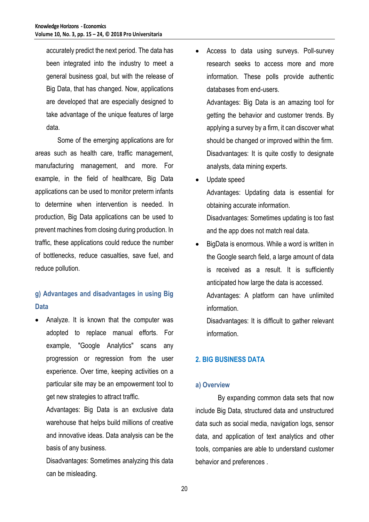accurately predict the next period. The data has been integrated into the industry to meet a general business goal, but with the release of Big Data, that has changed. Now, applications are developed that are especially designed to take advantage of the unique features of large data.

Some of the emerging applications are for areas such as health care, traffic management, manufacturing management, and more. For example, in the field of healthcare, Big Data applications can be used to monitor preterm infants to determine when intervention is needed. In production, Big Data applications can be used to prevent machines from closing during production. In traffic, these applications could reduce the number of bottlenecks, reduce casualties, save fuel, and reduce pollution.

## **g) Advantages and disadvantages in using Big Data**

 Analyze. It is known that the computer was adopted to replace manual efforts. For example, "Google Analytics" scans any progression or regression from the user experience. Over time, keeping activities on a particular site may be an empowerment tool to get new strategies to attract traffic.

Advantages: Big Data is an exclusive data warehouse that helps build millions of creative and innovative ideas. Data analysis can be the basis of any business.

Disadvantages: Sometimes analyzing this data can be misleading.

 Access to data using surveys. Poll-survey research seeks to access more and more information. These polls provide authentic databases from end-users.

Advantages: Big Data is an amazing tool for getting the behavior and customer trends. By applying a survey by a firm, it can discover what should be changed or improved within the firm. Disadvantages: It is quite costly to designate analysts, data mining experts.

Update speed

Advantages: Updating data is essential for obtaining accurate information.

Disadvantages: Sometimes updating is too fast and the app does not match real data.

 BigData is enormous. While a word is written in the Google search field, a large amount of data is received as a result. It is sufficiently anticipated how large the data is accessed. Advantages: A platform can have unlimited

information.

Disadvantages: It is difficult to gather relevant information.

## **2. BIG BUSINESS DATA**

## **a) Overview**

By expanding common data sets that now include Big Data, structured data and unstructured data such as social media, navigation logs, sensor data, and application of text analytics and other tools, companies are able to understand customer behavior and preferences .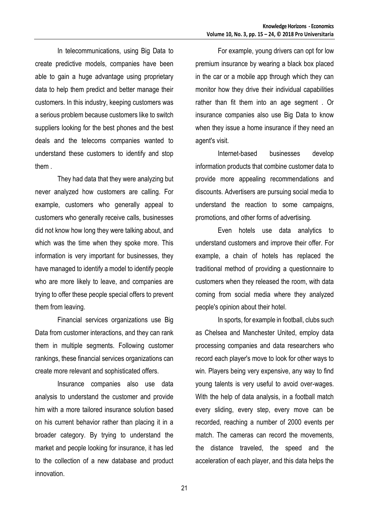In telecommunications, using Big Data to create predictive models, companies have been able to gain a huge advantage using proprietary data to help them predict and better manage their customers. In this industry, keeping customers was a serious problem because customers like to switch suppliers looking for the best phones and the best deals and the telecoms companies wanted to understand these customers to identify and stop them .

They had data that they were analyzing but never analyzed how customers are calling. For example, customers who generally appeal to customers who generally receive calls, businesses did not know how long they were talking about, and which was the time when they spoke more. This information is very important for businesses, they have managed to identify a model to identify people who are more likely to leave, and companies are trying to offer these people special offers to prevent them from leaving.

Financial services organizations use Big Data from customer interactions, and they can rank them in multiple segments. Following customer rankings, these financial services organizations can create more relevant and sophisticated offers.

Insurance companies also use data analysis to understand the customer and provide him with a more tailored insurance solution based on his current behavior rather than placing it in a broader category. By trying to understand the market and people looking for insurance, it has led to the collection of a new database and product innovation.

For example, young drivers can opt for low premium insurance by wearing a black box placed in the car or a mobile app through which they can monitor how they drive their individual capabilities rather than fit them into an age segment . Or insurance companies also use Big Data to know when they issue a home insurance if they need an agent's visit.

Internet-based businesses develop information products that combine customer data to provide more appealing recommendations and discounts. Advertisers are pursuing social media to understand the reaction to some campaigns, promotions, and other forms of advertising.

Even hotels use data analytics to understand customers and improve their offer. For example, a chain of hotels has replaced the traditional method of providing a questionnaire to customers when they released the room, with data coming from social media where they analyzed people's opinion about their hotel.

In sports, for example in football, clubs such as Chelsea and Manchester United, employ data processing companies and data researchers who record each player's move to look for other ways to win. Players being very expensive, any way to find young talents is very useful to avoid over-wages. With the help of data analysis, in a football match every sliding, every step, every move can be recorded, reaching a number of 2000 events per match. The cameras can record the movements, the distance traveled, the speed and the acceleration of each player, and this data helps the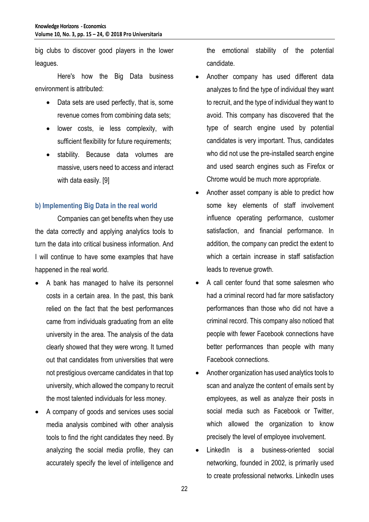big clubs to discover good players in the lower leagues.

Here's how the Big Data business environment is attributed:

- Data sets are used perfectly, that is, some revenue comes from combining data sets;
- lower costs, ie less complexity, with sufficient flexibility for future requirements;
- stability. Because data volumes are massive, users need to access and interact with data easily. [9]

## **b) Implementing Big Data in the real world**

Companies can get benefits when they use the data correctly and applying analytics tools to turn the data into critical business information. And I will continue to have some examples that have happened in the real world.

- A bank has managed to halve its personnel costs in a certain area. In the past, this bank relied on the fact that the best performances came from individuals graduating from an elite university in the area. The analysis of the data clearly showed that they were wrong. It turned out that candidates from universities that were not prestigious overcame candidates in that top university, which allowed the company to recruit the most talented individuals for less money.
- A company of goods and services uses social media analysis combined with other analysis tools to find the right candidates they need. By analyzing the social media profile, they can accurately specify the level of intelligence and

the emotional stability of the potential candidate.

- Another company has used different data analyzes to find the type of individual they want to recruit, and the type of individual they want to avoid. This company has discovered that the type of search engine used by potential candidates is very important. Thus, candidates who did not use the pre-installed search engine and used search engines such as Firefox or Chrome would be much more appropriate.
- Another asset company is able to predict how some key elements of staff involvement influence operating performance, customer satisfaction, and financial performance. In addition, the company can predict the extent to which a certain increase in staff satisfaction leads to revenue growth.
- A call center found that some salesmen who had a criminal record had far more satisfactory performances than those who did not have a criminal record. This company also noticed that people with fewer Facebook connections have better performances than people with many Facebook connections.
- Another organization has used analytics tools to scan and analyze the content of emails sent by employees, as well as analyze their posts in social media such as Facebook or Twitter, which allowed the organization to know precisely the level of employee involvement.
- LinkedIn is a business-oriented social networking, founded in 2002, is primarily used to create professional networks. LinkedIn uses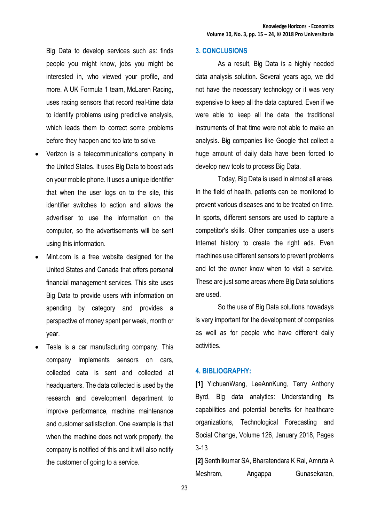Big Data to develop services such as: finds people you might know, jobs you might be interested in, who viewed your profile, and more. A UK Formula 1 team, McLaren Racing, uses racing sensors that record real-time data to identify problems using predictive analysis, which leads them to correct some problems before they happen and too late to solve.

- Verizon is a telecommunications company in the United States. It uses Big Data to boost ads on your mobile phone. It uses a unique identifier that when the user logs on to the site, this identifier switches to action and allows the advertiser to use the information on the computer, so the advertisements will be sent using this information.
- Mint.com is a free website designed for the United States and Canada that offers personal financial management services. This site uses Big Data to provide users with information on spending by category and provides a perspective of money spent per week, month or year.
- Tesla is a car manufacturing company. This company implements sensors on cars, collected data is sent and collected at headquarters. The data collected is used by the research and development department to improve performance, machine maintenance and customer satisfaction. One example is that when the machine does not work properly, the company is notified of this and it will also notify the customer of going to a service.

#### **3. CONCLUSIONS**

As a result, Big Data is a highly needed data analysis solution. Several years ago, we did not have the necessary technology or it was very expensive to keep all the data captured. Even if we were able to keep all the data, the traditional instruments of that time were not able to make an analysis. Big companies like Google that collect a huge amount of daily data have been forced to develop new tools to process Big Data.

Today, Big Data is used in almost all areas. In the field of health, patients can be monitored to prevent various diseases and to be treated on time. In sports, different sensors are used to capture a competitor's skills. Other companies use a user's Internet history to create the right ads. Even machines use different sensors to prevent problems and let the owner know when to visit a service. These are just some areas where Big Data solutions are used.

So the use of Big Data solutions nowadays is very important for the development of companies as well as for people who have different daily activities.

#### **4. BIBLIOGRAPHY:**

**[1]** YichuanWang, LeeAnnKung, Terry Anthony Byrd, Big data analytics: Understanding its capabilities and potential benefits for healthcare organizations, Technological Forecasting and Social Change, Volume 126, January 2018, Pages 3-13

**[2]** Senthilkumar SA, Bharatendara K Rai, Amruta A Meshram, Angappa Gunasekaran,